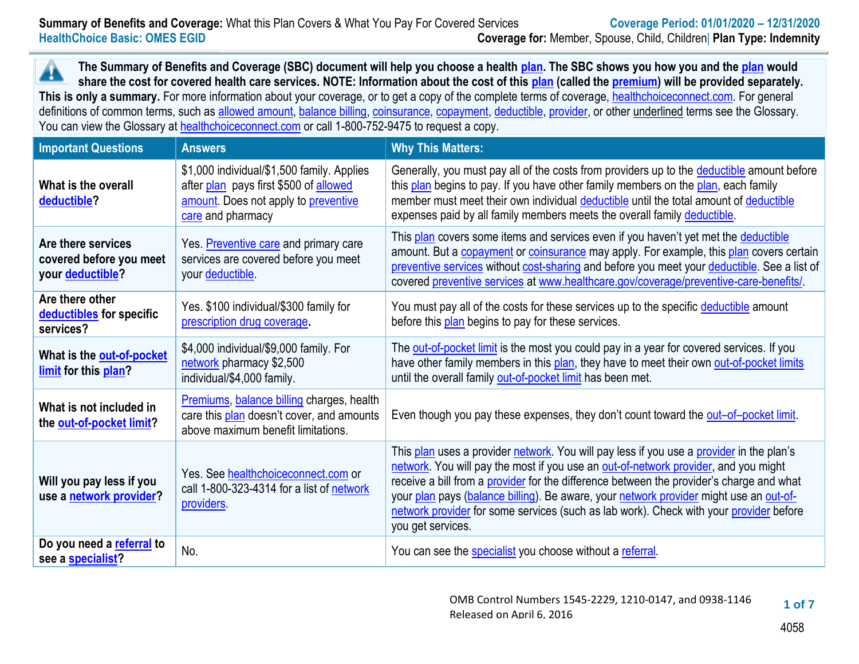▲ **The Summary of Benefits and Coverage (SBC) document will help you choose a health [plan.](https://www.healthcare.gov/sbc-glossary/#plan) The SBC shows you how you and th[e plan](https://www.healthcare.gov/sbc-glossary/#plan) would share the cost for covered health care services. NOTE: Information about the cost of this [plan](https://www.healthcare.gov/sbc-glossary/#plan) (called the [premium\)](https://www.healthcare.gov/sbc-glossary/#premium) will be provided separately.** This is only a summary. For more information about your coverage, or to get a copy of the complete terms of coverage, [healthchoiceconnect.com.](http://www.healthchoiceconnect.com/) For general definitions of common terms, such as [allowed amount,](https://www.healthcare.gov/sbc-glossary/#allowed-amount) [balance billing,](https://www.healthcare.gov/sbc-glossary/#balance-billing) [coinsurance,](https://www.healthcare.gov/sbc-glossary/#coinsurance) [copayment,](https://www.healthcare.gov/sbc-glossary/#copayment) [deductible,](https://www.healthcare.gov/sbc-glossary/#deductible) [provider,](https://www.healthcare.gov/sbc-glossary/#provider) or other underlined terms see the Glossary. You can view the Glossary at [healthchoiceconnect.com](http://www.healthchoiceconnect.com/uniform-glossary-final.pdf) or call 1-800-752-9475 to request a copy.

| <b>Important Questions</b>                                        | <b>Answers</b>                                                                                                                                    | <b>Why This Matters:</b>                                                                                                                                                                                                                                                                                                                                                                                                                                                             |
|-------------------------------------------------------------------|---------------------------------------------------------------------------------------------------------------------------------------------------|--------------------------------------------------------------------------------------------------------------------------------------------------------------------------------------------------------------------------------------------------------------------------------------------------------------------------------------------------------------------------------------------------------------------------------------------------------------------------------------|
| What is the overall<br>deductible?                                | \$1,000 individual/\$1,500 family. Applies<br>after plan pays first \$500 of allowed<br>amount. Does not apply to preventive<br>care and pharmacy | Generally, you must pay all of the costs from providers up to the deductible amount before<br>this plan begins to pay. If you have other family members on the plan, each family<br>member must meet their own individual deductible until the total amount of deductible<br>expenses paid by all family members meets the overall family deductible.                                                                                                                                |
| Are there services<br>covered before you meet<br>your deductible? | Yes. Preventive care and primary care<br>services are covered before you meet<br>your deductible                                                  | This plan covers some items and services even if you haven't yet met the deductible<br>amount. But a copayment or coinsurance may apply. For example, this plan covers certain<br>preventive services without cost-sharing and before you meet your deductible. See a list of<br>covered preventive services at www.healthcare.gov/coverage/preventive-care-benefits/                                                                                                                |
| Are there other<br>deductibles for specific<br>services?          | Yes. \$100 individual/\$300 family for<br>prescription drug coverage.                                                                             | You must pay all of the costs for these services up to the specific deductible amount<br>before this plan begins to pay for these services.                                                                                                                                                                                                                                                                                                                                          |
| What is the out-of-pocket<br>limit for this plan?                 | \$4,000 individual/\$9,000 family. For<br>network pharmacy \$2,500<br>individual/\$4,000 family.                                                  | The out-of-pocket limit is the most you could pay in a year for covered services. If you<br>have other family members in this plan, they have to meet their own out-of-pocket limits<br>until the overall family out-of-pocket limit has been met.                                                                                                                                                                                                                                   |
| What is not included in<br>the out-of-pocket limit?               | Premiums, balance billing charges, health<br>care this plan doesn't cover, and amounts<br>above maximum benefit limitations.                      | Even though you pay these expenses, they don't count toward the out-of-pocket limit.                                                                                                                                                                                                                                                                                                                                                                                                 |
| Will you pay less if you<br>use a network provider?               | Yes. See healthchoiceconnect.com or<br>call 1-800-323-4314 for a list of network<br>providers.                                                    | This plan uses a provider network. You will pay less if you use a provider in the plan's<br>network. You will pay the most if you use an out-of-network provider, and you might<br>receive a bill from a provider for the difference between the provider's charge and what<br>your plan pays (balance billing). Be aware, your network provider might use an out-of-<br>network provider for some services (such as lab work). Check with your provider before<br>you get services. |
| Do you need a referral to<br>see a specialist?                    | No.                                                                                                                                               | You can see the specialist you choose without a referral.                                                                                                                                                                                                                                                                                                                                                                                                                            |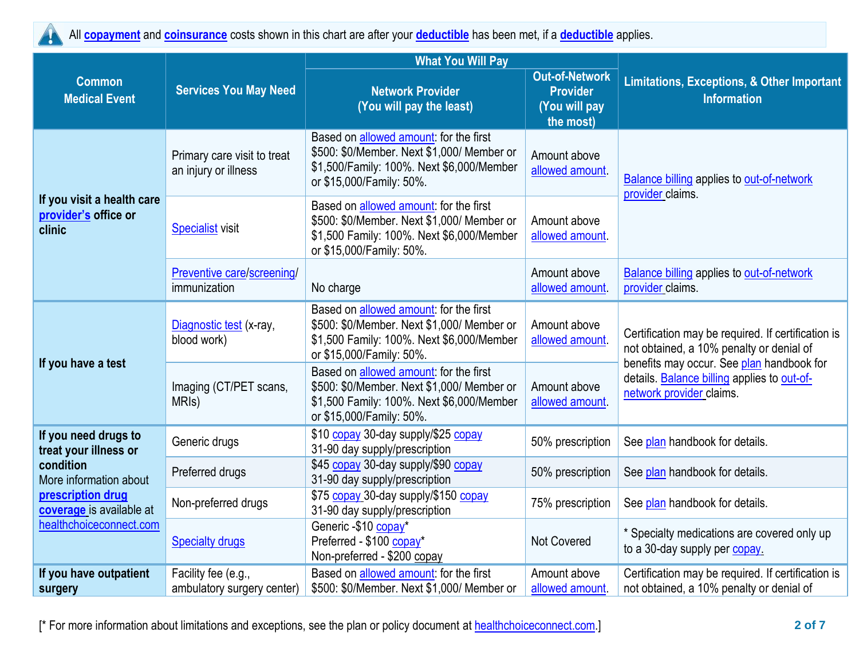<u>И.</u>

All **[copayment](https://www.healthcare.gov/sbc-glossary/#copayment)** and **[coinsurance](https://www.healthcare.gov/sbc-glossary/#coinsurance)** costs shown in this chart are after your **[deductible](https://www.healthcare.gov/sbc-glossary/#deductible)** has been met, if a **[deductible](https://www.healthcare.gov/sbc-glossary/#deductible)** applies.

|                                                              |                                                     | <b>What You Will Pay</b>                                                                                                                                                                         |                                                                        |                                                                                                                      |  |
|--------------------------------------------------------------|-----------------------------------------------------|--------------------------------------------------------------------------------------------------------------------------------------------------------------------------------------------------|------------------------------------------------------------------------|----------------------------------------------------------------------------------------------------------------------|--|
| <b>Common</b><br><b>Medical Event</b>                        | <b>Services You May Need</b>                        | <b>Network Provider</b><br>(You will pay the least)                                                                                                                                              | <b>Out-of-Network</b><br><b>Provider</b><br>(You will pay<br>the most) | <b>Limitations, Exceptions, &amp; Other Important</b><br><b>Information</b>                                          |  |
|                                                              | Primary care visit to treat<br>an injury or illness | Based on allowed amount: for the first<br>\$500: \$0/Member. Next \$1,000/ Member or<br>Amount above<br>\$1,500/Family: 100%. Next \$6,000/Member<br>allowed amount.<br>or \$15,000/Family: 50%. |                                                                        | <b>Balance billing applies to out-of-network</b><br>provider claims.                                                 |  |
| If you visit a health care<br>provider's office or<br>clinic | <b>Specialist visit</b>                             | Based on allowed amount: for the first<br>\$500: \$0/Member. Next \$1,000/ Member or<br>\$1,500 Family: 100%. Next \$6,000/Member<br>or \$15,000/Family: 50%.                                    | Amount above<br>allowed amount.                                        |                                                                                                                      |  |
|                                                              | Preventive care/screening/<br>immunization          | No charge                                                                                                                                                                                        | Amount above<br>allowed amount.                                        | <b>Balance billing applies to out-of-network</b><br>provider claims.                                                 |  |
|                                                              | Diagnostic test (x-ray,<br>blood work)              | Based on allowed amount: for the first<br>\$500: \$0/Member. Next \$1,000/ Member or<br>\$1,500 Family: 100%. Next \$6,000/Member<br>or \$15,000/Family: 50%.                                    | Amount above<br>allowed amount.                                        | Certification may be required. If certification is<br>not obtained, a 10% penalty or denial of                       |  |
| If you have a test                                           | Imaging (CT/PET scans,<br>MRI <sub>s</sub> )        | Based on allowed amount: for the first<br>\$500: \$0/Member. Next \$1,000/ Member or<br>\$1,500 Family: 100%. Next \$6,000/Member<br>or \$15,000/Family: 50%.                                    | Amount above<br>allowed amount                                         | benefits may occur. See plan handbook for<br>details. Balance billing applies to out-of-<br>network provider claims. |  |
| If you need drugs to<br>treat your illness or                | Generic drugs                                       | \$10 copay 30-day supply/\$25 copay<br>31-90 day supply/prescription                                                                                                                             | 50% prescription                                                       | See plan handbook for details.                                                                                       |  |
| condition<br>More information about                          | Preferred drugs                                     | \$45 copay 30-day supply/\$90 copay<br>31-90 day supply/prescription                                                                                                                             | 50% prescription                                                       | See plan handbook for details.                                                                                       |  |
| prescription drug<br>coverage is available at                | Non-preferred drugs                                 | \$75 copay 30-day supply/\$150 copay<br>31-90 day supply/prescription                                                                                                                            | 75% prescription                                                       | See plan handbook for details.                                                                                       |  |
| healthchoiceconnect.com                                      | <b>Specialty drugs</b>                              | Generic -\$10 copay*<br>Preferred - \$100 copay*<br>Non-preferred - \$200 copay                                                                                                                  | <b>Not Covered</b>                                                     | * Specialty medications are covered only up<br>to a 30-day supply per copay.                                         |  |
| If you have outpatient<br>surgery                            | Facility fee (e.g.,<br>ambulatory surgery center)   | Based on allowed amount: for the first<br>\$500: \$0/Member. Next \$1,000/ Member or                                                                                                             | Amount above<br>allowed amount.                                        | Certification may be required. If certification is<br>not obtained, a 10% penalty or denial of                       |  |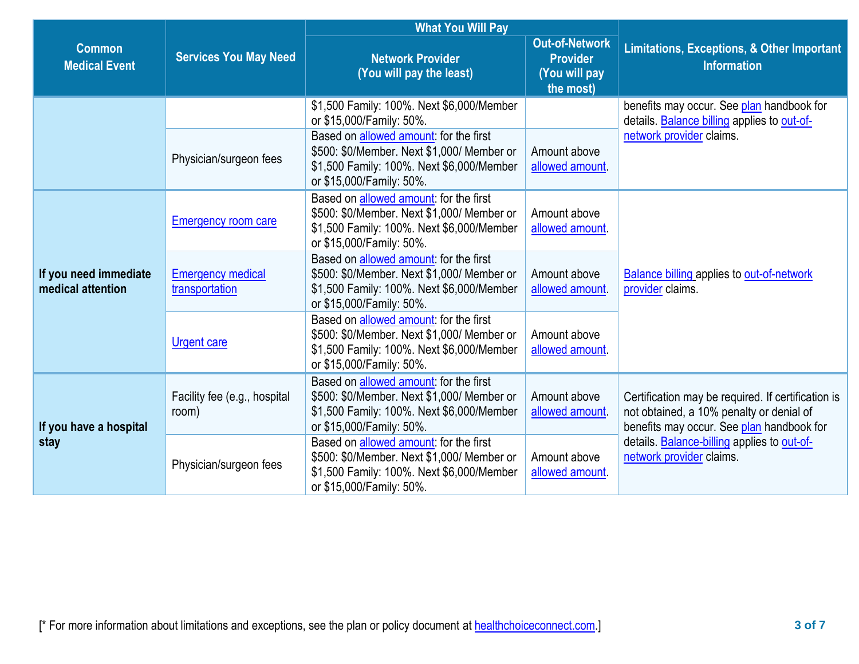|                                            |                                            | <b>What You Will Pay</b>                                                                                                                                              |                                                                        |                                                                                                                                             |
|--------------------------------------------|--------------------------------------------|-----------------------------------------------------------------------------------------------------------------------------------------------------------------------|------------------------------------------------------------------------|---------------------------------------------------------------------------------------------------------------------------------------------|
| <b>Common</b><br><b>Medical Event</b>      | <b>Services You May Need</b>               | <b>Network Provider</b><br>(You will pay the least)                                                                                                                   | <b>Out-of-Network</b><br><b>Provider</b><br>(You will pay<br>the most) | <b>Limitations, Exceptions, &amp; Other Important</b><br><b>Information</b>                                                                 |
|                                            |                                            | \$1,500 Family: 100%. Next \$6,000/Member<br>or \$15,000/Family: 50%.                                                                                                 |                                                                        | benefits may occur. See plan handbook for<br>details. Balance billing applies to out-of-                                                    |
|                                            | Physician/surgeon fees                     | Based on allowed amount: for the first<br>\$500: \$0/Member. Next \$1,000/ Member or<br>\$1,500 Family: 100%. Next \$6,000/Member<br>or \$15,000/Family: 50%.         | Amount above<br>allowed amount.                                        | network provider claims.                                                                                                                    |
|                                            | <b>Emergency room care</b>                 | Based on allowed amount: for the first<br>\$500: \$0/Member. Next \$1,000/ Member or<br>\$1,500 Family: 100%. Next \$6,000/Member<br>or \$15,000/Family: 50%.         | Amount above<br>allowed amount.                                        |                                                                                                                                             |
| If you need immediate<br>medical attention | <b>Emergency medical</b><br>transportation | Based on allowed amount: for the first<br>\$500: \$0/Member. Next \$1,000/ Member or<br>\$1,500 Family: 100%. Next \$6,000/Member<br>or \$15,000/Family: 50%.         | Amount above<br>allowed amount                                         | <b>Balance billing applies to out-of-network</b><br>provider claims.                                                                        |
|                                            | <b>Urgent care</b>                         | Based on allowed amount: for the first<br>\$500: \$0/Member. Next \$1,000/ Member or<br>\$1,500 Family: 100%. Next \$6,000/Member<br>or \$15,000/Family: 50%.         | Amount above<br>allowed amount.                                        |                                                                                                                                             |
| If you have a hospital                     | Facility fee (e.g., hospital<br>room)      | Based on allowed amount: for the first<br>\$500: \$0/Member. Next \$1,000/ Member or<br>\$1,500 Family: 100%. Next \$6,000/Member<br>or \$15,000/Family: 50%.         | Amount above<br>allowed amount                                         | Certification may be required. If certification is<br>not obtained, a 10% penalty or denial of<br>benefits may occur. See plan handbook for |
| stay                                       | Physician/surgeon fees                     | Based on <b>allowed amount</b> : for the first<br>\$500: \$0/Member. Next \$1,000/ Member or<br>\$1,500 Family: 100%. Next \$6,000/Member<br>or \$15,000/Family: 50%. | Amount above<br>allowed amount.                                        | details. Balance-billing applies to out-of-<br>network provider claims.                                                                     |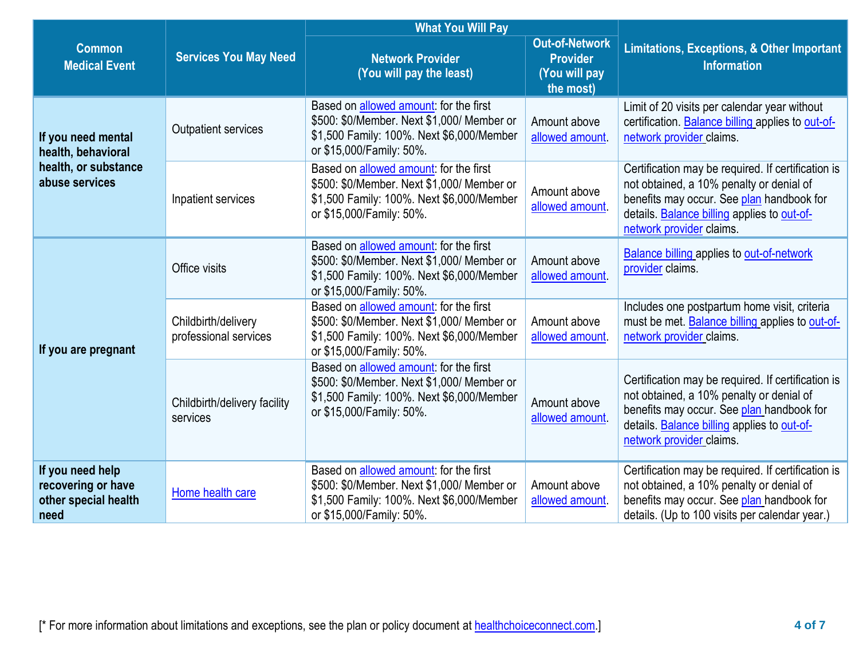|                                                                        |                                              | <b>What You Will Pay</b>                                                                                                                                      |                                                                        |                                                                                                                                                                                                                        |
|------------------------------------------------------------------------|----------------------------------------------|---------------------------------------------------------------------------------------------------------------------------------------------------------------|------------------------------------------------------------------------|------------------------------------------------------------------------------------------------------------------------------------------------------------------------------------------------------------------------|
| <b>Common</b><br><b>Medical Event</b>                                  | <b>Services You May Need</b>                 | <b>Network Provider</b><br>(You will pay the least)                                                                                                           | <b>Out-of-Network</b><br><b>Provider</b><br>(You will pay<br>the most) | <b>Limitations, Exceptions, &amp; Other Important</b><br><b>Information</b>                                                                                                                                            |
| If you need mental<br>health, behavioral                               | <b>Outpatient services</b>                   | Based on allowed amount: for the first<br>\$500: \$0/Member. Next \$1,000/ Member or<br>\$1,500 Family: 100%. Next \$6,000/Member<br>or \$15,000/Family: 50%. | Amount above<br>allowed amount.                                        | Limit of 20 visits per calendar year without<br>certification. Balance billing applies to out-of-<br>network provider claims.                                                                                          |
| health, or substance<br>abuse services                                 | Inpatient services                           | Based on allowed amount: for the first<br>\$500: \$0/Member. Next \$1,000/ Member or<br>\$1,500 Family: 100%. Next \$6,000/Member<br>or \$15,000/Family: 50%. | Amount above<br>allowed amount                                         | Certification may be required. If certification is<br>not obtained, a 10% penalty or denial of<br>benefits may occur. See plan handbook for<br>details. Balance billing applies to out-of-<br>network provider claims. |
|                                                                        | Office visits                                | Based on allowed amount: for the first<br>\$500: \$0/Member. Next \$1,000/ Member or<br>\$1,500 Family: 100%. Next \$6,000/Member<br>or \$15,000/Family: 50%. | Amount above<br>allowed amount.                                        | <b>Balance billing applies to out-of-network</b><br>provider claims.                                                                                                                                                   |
| If you are pregnant                                                    | Childbirth/delivery<br>professional services | Based on allowed amount: for the first<br>\$500: \$0/Member. Next \$1,000/ Member or<br>\$1,500 Family: 100%. Next \$6,000/Member<br>or \$15,000/Family: 50%. | Amount above<br>allowed amount.                                        | Includes one postpartum home visit, criteria<br>must be met. Balance billing applies to out-of-<br>network provider claims.                                                                                            |
|                                                                        | Childbirth/delivery facility<br>services     | Based on allowed amount: for the first<br>\$500: \$0/Member. Next \$1,000/ Member or<br>\$1,500 Family: 100%. Next \$6,000/Member<br>or \$15,000/Family: 50%. | Amount above<br>allowed amount                                         | Certification may be required. If certification is<br>not obtained, a 10% penalty or denial of<br>benefits may occur. See plan handbook for<br>details. Balance billing applies to out-of-<br>network provider claims. |
| If you need help<br>recovering or have<br>other special health<br>need | Home health care                             | Based on allowed amount: for the first<br>\$500: \$0/Member. Next \$1,000/ Member or<br>\$1,500 Family: 100%. Next \$6,000/Member<br>or \$15,000/Family: 50%. | Amount above<br>allowed amount.                                        | Certification may be required. If certification is<br>not obtained, a 10% penalty or denial of<br>benefits may occur. See plan handbook for<br>details. (Up to 100 visits per calendar year.)                          |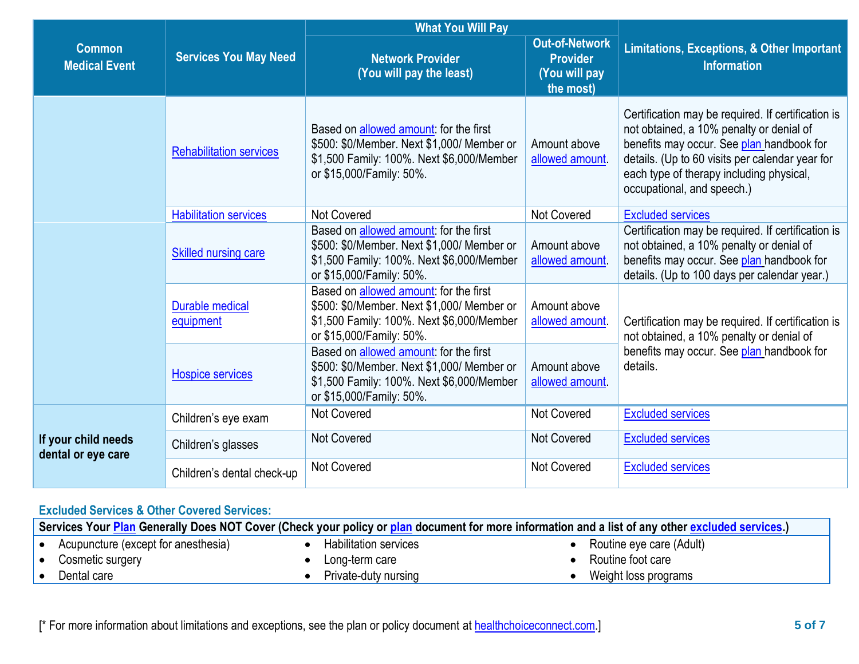|                                           |                                     | <b>What You Will Pay</b>                                                                                                                                      |                                 |                                                                                                                                                                                                                                                                          |  |
|-------------------------------------------|-------------------------------------|---------------------------------------------------------------------------------------------------------------------------------------------------------------|---------------------------------|--------------------------------------------------------------------------------------------------------------------------------------------------------------------------------------------------------------------------------------------------------------------------|--|
| <b>Common</b><br><b>Medical Event</b>     | <b>Services You May Need</b>        | <b>Out-of-Network</b><br><b>Network Provider</b><br><b>Provider</b><br>(You will pay the least)<br>(You will pay<br>the most)                                 |                                 | Limitations, Exceptions, & Other Important<br><b>Information</b>                                                                                                                                                                                                         |  |
|                                           | <b>Rehabilitation services</b>      | Based on allowed amount: for the first<br>\$500: \$0/Member. Next \$1,000/ Member or<br>\$1,500 Family: 100%. Next \$6,000/Member<br>or \$15,000/Family: 50%. | Amount above<br>allowed amount. | Certification may be required. If certification is<br>not obtained, a 10% penalty or denial of<br>benefits may occur. See plan handbook for<br>details. (Up to 60 visits per calendar year for<br>each type of therapy including physical,<br>occupational, and speech.) |  |
|                                           | <b>Habilitation services</b>        | <b>Not Covered</b>                                                                                                                                            | Not Covered                     | <b>Excluded services</b>                                                                                                                                                                                                                                                 |  |
|                                           | <b>Skilled nursing care</b>         | Based on allowed amount: for the first<br>\$500: \$0/Member. Next \$1,000/ Member or<br>\$1,500 Family: 100%. Next \$6,000/Member<br>or \$15,000/Family: 50%. | Amount above<br>allowed amount. | Certification may be required. If certification is<br>not obtained, a 10% penalty or denial of<br>benefits may occur. See plan handbook for<br>details. (Up to 100 days per calendar year.)                                                                              |  |
|                                           | <b>Durable medical</b><br>equipment | Based on allowed amount: for the first<br>\$500: \$0/Member. Next \$1,000/ Member or<br>\$1,500 Family: 100%. Next \$6,000/Member<br>or \$15,000/Family: 50%. | Amount above<br>allowed amount. | Certification may be required. If certification is<br>not obtained, a 10% penalty or denial of                                                                                                                                                                           |  |
|                                           | <b>Hospice services</b>             | Based on allowed amount: for the first<br>\$500: \$0/Member. Next \$1,000/ Member or<br>\$1,500 Family: 100%. Next \$6,000/Member<br>or \$15,000/Family: 50%. | Amount above<br>allowed amount  | benefits may occur. See plan handbook for<br>details.                                                                                                                                                                                                                    |  |
|                                           | Children's eye exam                 | Not Covered                                                                                                                                                   | Not Covered                     | <b>Excluded services</b>                                                                                                                                                                                                                                                 |  |
| If your child needs<br>dental or eye care | Children's glasses                  | <b>Not Covered</b>                                                                                                                                            | <b>Not Covered</b>              | <b>Excluded services</b>                                                                                                                                                                                                                                                 |  |
|                                           | Children's dental check-up          | <b>Not Covered</b>                                                                                                                                            | <b>Not Covered</b>              | <b>Excluded services</b>                                                                                                                                                                                                                                                 |  |

## **Excluded Services & Other Covered Services:**

| Services Your Plan Generally Does NOT Cover (Check your policy or plan document for more information and a list of any other excluded services.) |                              |                          |
|--------------------------------------------------------------------------------------------------------------------------------------------------|------------------------------|--------------------------|
| Acupuncture (except for anesthesia)                                                                                                              | <b>Habilitation services</b> | Routine eye care (Adult) |
| Cosmetic surgery                                                                                                                                 | Long-term care               | Routine foot care        |
| Dental care                                                                                                                                      | Private-duty nursing         | Weight loss programs     |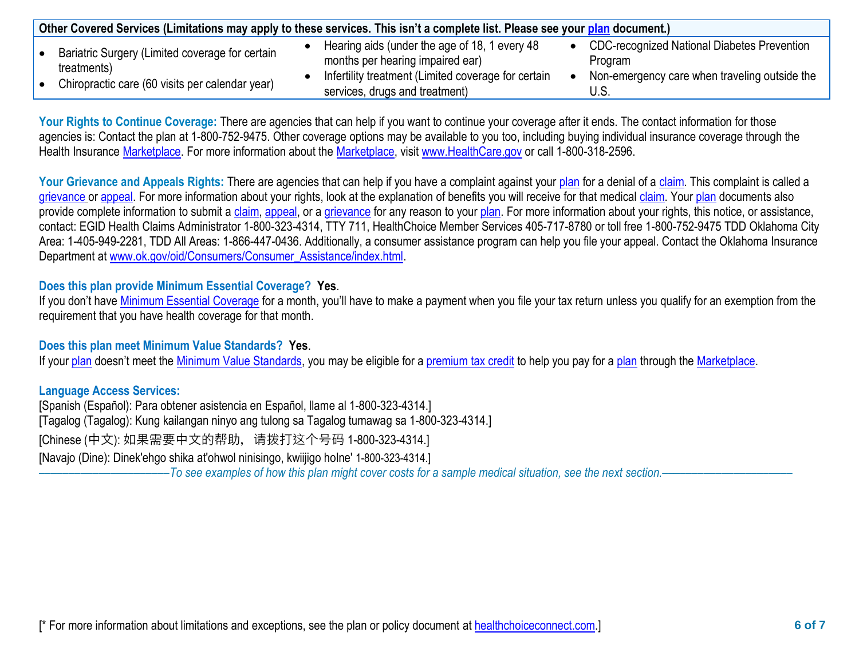| Other Covered Services (Limitations may apply to these services. This isn't a complete list. Please see your plan document.) |                                                     |                                                    |
|------------------------------------------------------------------------------------------------------------------------------|-----------------------------------------------------|----------------------------------------------------|
| Bariatric Surgery (Limited coverage for certain                                                                              | Hearing aids (under the age of 18, 1 every 48       | <b>CDC-recognized National Diabetes Prevention</b> |
| treatments)                                                                                                                  | months per hearing impaired ear)                    | Program                                            |
| Chiropractic care (60 visits per calendar year)                                                                              | Infertility treatment (Limited coverage for certain | Non-emergency care when traveling outside the      |
|                                                                                                                              | services, drugs and treatment)                      | J.S.                                               |

Your Rights to Continue Coverage: There are agencies that can help if you want to continue your coverage after it ends. The contact information for those agencies is: Contact the plan at 1-800-752-9475. Other coverage options may be available to you too, including buying individual insurance coverage through the Health Insurance [Marketplace.](https://www.healthcare.gov/sbc-glossary/#marketplace) For more information about the [Marketplace,](https://www.healthcare.gov/sbc-glossary/#marketplace) visit [www.HealthCare.gov](http://www.healthcare.gov/) or call 1-800-318-2596.

Your Grievance and Appeals Rights: There are agencies that can help if you have a complaint against your [plan](https://www.healthcare.gov/sbc-glossary/#plan) for a denial of a [claim.](https://www.healthcare.gov/sbc-glossary/#claim) This complaint is called a [grievance](https://www.healthcare.gov/sbc-glossary/#grievance) or [appeal.](https://www.healthcare.gov/sbc-glossary/#appeal) For more information about your rights, look at the explanation of benefits you will receive for that medical [claim.](https://www.healthcare.gov/sbc-glossary/#claim) Your [plan](https://www.healthcare.gov/sbc-glossary/#plan) documents also provide complete information to submit a [claim,](https://www.healthcare.gov/sbc-glossary/#claim) [appeal,](https://www.healthcare.gov/sbc-glossary/#appeal) or a [grievance](https://www.healthcare.gov/sbc-glossary/#grievance) for any reason to your [plan.](https://www.healthcare.gov/sbc-glossary/#plan) For more information about your rights, this notice, or assistance, contact: EGID Health Claims Administrator 1-800-323-4314, TTY 711, HealthChoice Member Services 405-717-8780 or toll free 1-800-752-9475 TDD Oklahoma City Area: 1-405-949-2281, TDD All Areas: 1-866-447-0436. Additionally, a consumer assistance program can help you file your appeal. Contact the Oklahoma Insurance Department at [www.ok.gov/oid/Consumers/Consumer\\_Assistance/index.html.](http://www.ok.gov/oid/Consumers/Consumer_Assistance/index.html)

## **Does this plan provide Minimum Essential Coverage? Yes**.

If you don't have [Minimum Essential Coverage](https://www.healthcare.gov/sbc-glossary/#minimum-essential-coverage) for a month, you'll have to make a payment when you file your tax return unless you qualify for an exemption from the requirement that you have health coverage for that month.

## **Does this plan meet Minimum Value Standards? Yes**.

If your [plan](https://www.healthcare.gov/sbc-glossary/#plan) doesn't meet the [Minimum Value Standards,](https://www.healthcare.gov/sbc-glossary/#minimum-value-standard) you may be eligible for a [premium tax credit](https://www.healthcare.gov/sbc-glossary/#premium-tax-credits) to help you pay for a plan through the [Marketplace.](https://www.healthcare.gov/sbc-glossary/#marketplace)

**Language Access Services:**

[Spanish (Español): Para obtener asistencia en Español, llame al 1-800-323-4314.] [Tagalog (Tagalog): Kung kailangan ninyo ang tulong sa Tagalog tumawag sa 1-800-323-4314.] [Chinese (中文): 如果需要中文的帮助, 请拨打这个号码 1-800-323-4314.] [Navajo (Dine): Dinek'ehgo shika at'ohwol ninisingo, kwiijigo holne' 1-800-323-4314.]

––––––––––––––––––––––*To see examples of how this plan might cover costs for a sample medical situation, see the next section.–––––––––––*–––––––––––